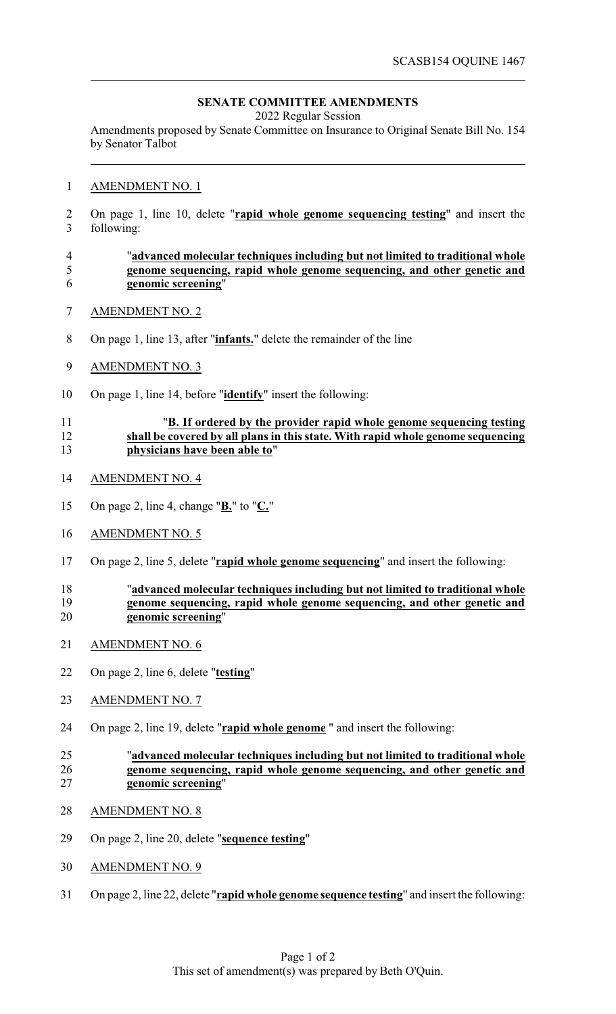# **SENATE COMMITTEE AMENDMENTS**

2022 Regular Session

Amendments proposed by Senate Committee on Insurance to Original Senate Bill No. 154 by Senator Talbot

#### AMENDMENT NO. 1

 On page 1, line 10, delete "**rapid whole genome sequencing testing**" and insert the following:

#### "**advanced molecular techniques including but not limited to traditional whole genome sequencing, rapid whole genome sequencing, and other genetic and genomic screening**"

- AMENDMENT NO. 2
- On page 1, line 13, after "**infants.**" delete the remainder of the line
- AMENDMENT NO. 3
- On page 1, line 14, before "**identify**" insert the following:

## "**B. If ordered by the provider rapid whole genome sequencing testing shall be covered by all plans in this state. With rapid whole genome sequencing physicians have been able to**"

- AMENDMENT NO. 4
- On page 2, line 4, change "**B.**" to "**C.**"
- AMENDMENT NO. 5
- On page 2, line 5, delete "**rapid whole genome sequencing**" and insert the following:

## "**advanced molecular techniques including but not limited to traditional whole** 19 **genome sequencing, rapid whole genome sequencing, and other genetic and**<br>20 **genomic screening**" genomic screening"

- AMENDMENT NO. 6
- On page 2, line 6, delete "**testing**"
- AMENDMENT NO. 7
- On page 2, line 19, delete "**rapid whole genome** " and insert the following:

## "**advanced molecular techniques including but not limited to traditional whole genome sequencing, rapid whole genome sequencing, and other genetic and genomic screening**"

- AMENDMENT NO. 8
- On page 2, line 20, delete "**sequence testing**"
- AMENDMENT NO. 9
- On page 2, line 22, delete "**rapid whole genome sequence testing**" and insert the following: